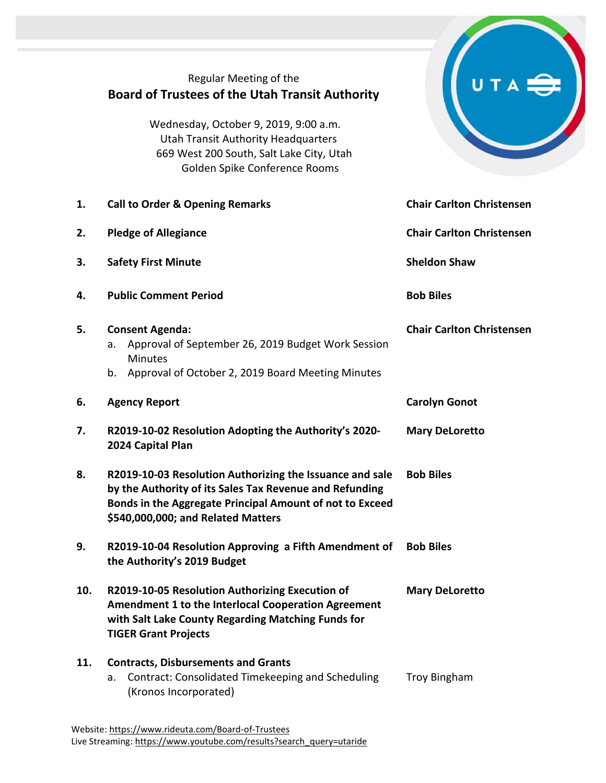|     | Regular Meeting of the<br><b>Board of Trustees of the Utah Transit Authority</b><br>Wednesday, October 9, 2019, 9:00 a.m.<br><b>Utah Transit Authority Headquarters</b><br>669 West 200 South, Salt Lake City, Utah<br>Golden Spike Conference Rooms |                                  |
|-----|------------------------------------------------------------------------------------------------------------------------------------------------------------------------------------------------------------------------------------------------------|----------------------------------|
| 1.  | <b>Call to Order &amp; Opening Remarks</b>                                                                                                                                                                                                           | <b>Chair Carlton Christensen</b> |
| 2.  | <b>Pledge of Allegiance</b>                                                                                                                                                                                                                          | <b>Chair Carlton Christensen</b> |
| 3.  | <b>Safety First Minute</b>                                                                                                                                                                                                                           | <b>Sheldon Shaw</b>              |
| 4.  | <b>Public Comment Period</b>                                                                                                                                                                                                                         | <b>Bob Biles</b>                 |
| 5.  | <b>Consent Agenda:</b><br>Approval of September 26, 2019 Budget Work Session<br>a.<br><b>Minutes</b><br>Approval of October 2, 2019 Board Meeting Minutes<br>b.                                                                                      | <b>Chair Carlton Christensen</b> |
| 6.  | <b>Agency Report</b>                                                                                                                                                                                                                                 | <b>Carolyn Gonot</b>             |
| 7.  | R2019-10-02 Resolution Adopting the Authority's 2020-<br>2024 Capital Plan                                                                                                                                                                           | <b>Mary DeLoretto</b>            |
| 8.  | R2019-10-03 Resolution Authorizing the Issuance and sale Bob Biles<br>by the Authority of its Sales Tax Revenue and Refunding<br>Bonds in the Aggregate Principal Amount of not to Exceed<br>\$540,000,000; and Related Matters                      |                                  |
| 9.  | R2019-10-04 Resolution Approving a Fifth Amendment of<br>the Authority's 2019 Budget                                                                                                                                                                 | <b>Bob Biles</b>                 |
| 10. | R2019-10-05 Resolution Authorizing Execution of<br>Amendment 1 to the Interlocal Cooperation Agreement<br>with Salt Lake County Regarding Matching Funds for<br><b>TIGER Grant Projects</b>                                                          | <b>Mary DeLoretto</b>            |
| 11. | <b>Contracts, Disbursements and Grants</b><br>Contract: Consolidated Timekeeping and Scheduling<br>a.<br>(Kronos Incorporated)                                                                                                                       | <b>Troy Bingham</b>              |